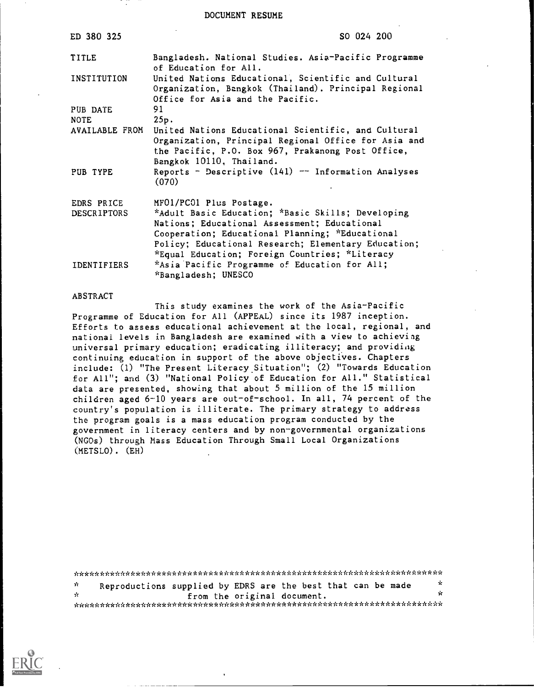DOCUMENT RESUME

| ED 380 325         | SO 024 200                                                                                                                                                                                                                                                    |
|--------------------|---------------------------------------------------------------------------------------------------------------------------------------------------------------------------------------------------------------------------------------------------------------|
| TITLE              | Bangladesh. National Studies. Asia-Pacific Programme<br>of Education for All.                                                                                                                                                                                 |
| INSTITUTION        | United Nations Educational, Scientific and Cultural<br>Organization, Bangkok (Thailand). Principal Regional<br>Office for Asia and the Pacific.                                                                                                               |
| PUB DATE           | 91                                                                                                                                                                                                                                                            |
| <b>NOTE</b>        | 25p.                                                                                                                                                                                                                                                          |
| AVAILABLE FROM     | United Nations Educational Scientific, and Cultural<br>Organization, Principal Regional Office for Asia and<br>the Pacific, P.O. Box 967, Prakanong Post Office,<br>Bangkok 10110, Thailand.                                                                  |
| PUB TYPE           | Reports - Descriptive $(141)$ -- Information Analyses<br>(070)                                                                                                                                                                                                |
| EDRS PRICE         | MF01/PC01 Plus Postage.                                                                                                                                                                                                                                       |
| DESCRIPTORS        | *Adult Basic Education; *Basic Skills; Developing<br>Nations; Educational Assessment; Educational<br>Cooperation; Educational Planning; *Educational<br>Policy; Educational Research; Elementary Education;<br>*Equal Education; Foreign Countries; *Literacy |
| <b>IDENTIFIERS</b> | *Asia Pacific Programme of Education for All;<br>"Bangladesh; UNESCO                                                                                                                                                                                          |

#### ABSTRACT

This study examines the work of the Asia-Pacific Programme of Education for All (APPEAL) since its 1987 inception. Efforts to assess educational achievement at the local, regional, and national levels in Bangladesh are examined with a view to achieving universal primary education; eradicating illiteracy; and providiag continuing education in support of the above objectives. Chapters include: (1) "The Present Literacy Situation"; (2) "Towards Education for All"; and (3) "National Policy of Education for All." Statistical data are presented, showing that about 5 million of the 15 million children aged 6-10 years are out-of-school. In all, 74 percent of the country's population is illiterate. The primary strategy to address the program goals is a mass education program conducted by the government in literacy centers and by non-governmental organizations (NGOs) through Mass Education Through Small Local Organizations (METSLO). (EH)

| -k | Reproductions supplied by EDRS are the best that can be made                                                                                                                                                                   |  |                             |  | - it |
|----|--------------------------------------------------------------------------------------------------------------------------------------------------------------------------------------------------------------------------------|--|-----------------------------|--|------|
| ÷. |                                                                                                                                                                                                                                |  | from the original document. |  | -ic  |
|    | Acacados de la distribuição de la distribuição de la distribuição de la distribuição de la distribuição de la distribuição de la distribuição de la distribuição de la distribuição de la distribuição de la distribuição de l |  |                             |  |      |

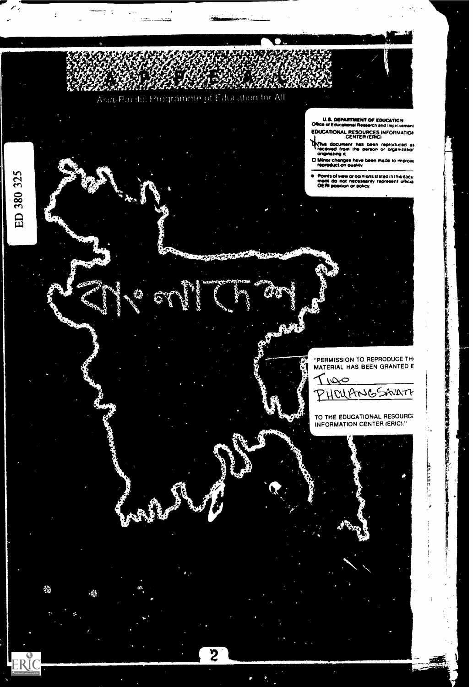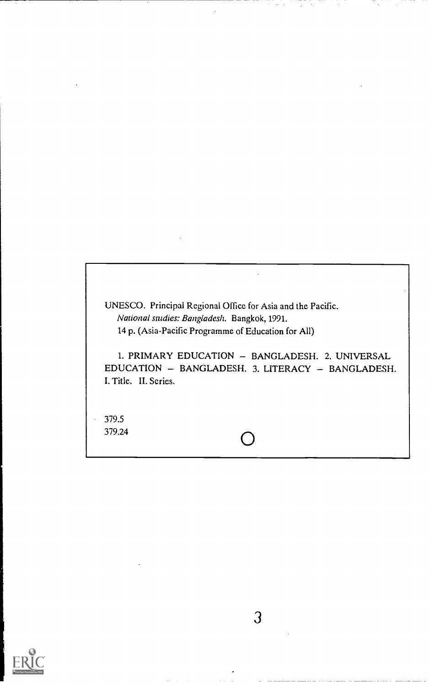UNESCO. Principal Regional Office for Asia and the Pacific. National studies: Bangladesh. Bangkok, 1991. 14 p. (Asia-Pacific Programme of Education for All)

1. PRIMARY EDUCATION - BANGLADESH. 2. UNIVERSAL EDUCATION - BANGLADESH. 3. LITERACY - BANGLADESH. I. Title. II. Series.

379.5  $\bigcirc$  379.24  $\bigcirc$ 

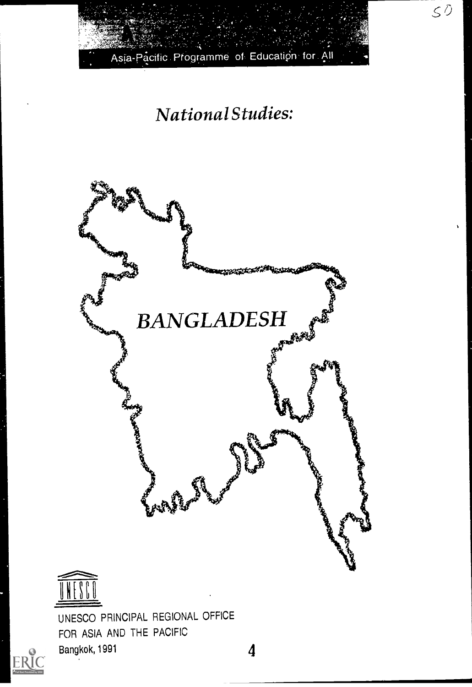

 $50$ 

# National Studies:





UNESCO PRINCIPAL REGIONAL OFFICE FOR ASIA AND THE PACIFIC Bangkok, 1991 **4** 

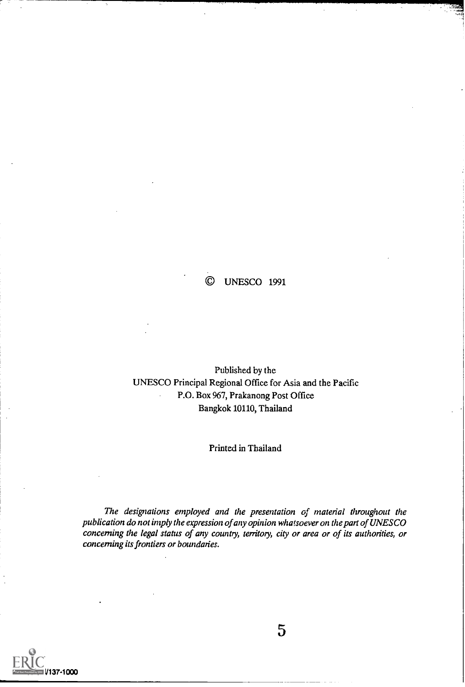### © UNESCO 1991

### Published by the UNESCO Principal Regional Office for Asia and the Pacific P.O. Box 967, Prakanong Post Office Bangkok 10110, Thailand

#### Printed in Thailand

The designations employed and the presentation of material throughout the publication do not imply the expression of any opinion whatsoever on the pan of UNESCO concerning the legal status of any country, territory, city or area or of its authorities, or concerning its frontiers or boundaries.

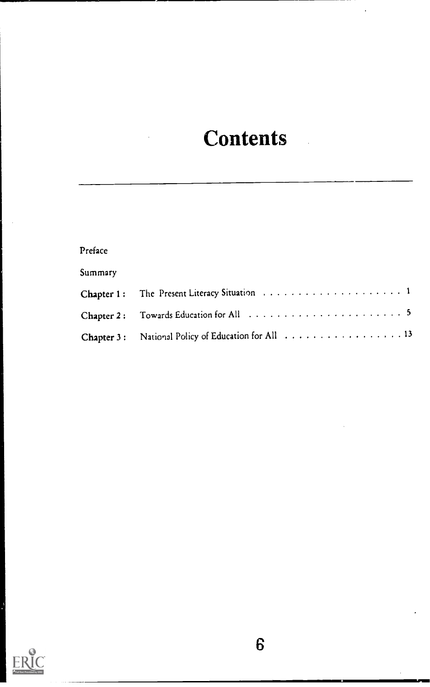# Contents

| Preface    |  |
|------------|--|
| Summary    |  |
|            |  |
|            |  |
| Chapter 3: |  |

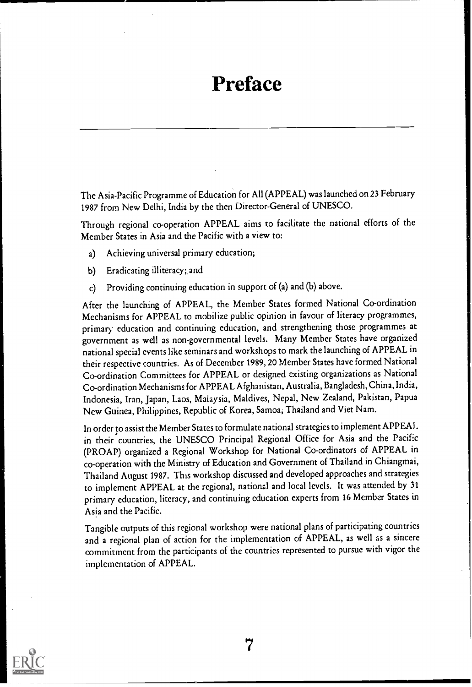# Preface

The Asia-Pacific Programme of Education for All (APPEAL) was launched on 23 February 1987 from New Delhi, India by the then Director-General of UNESCO.

Through regional co-operation APPEAL aims to facilitate the national efforts of the Member States in Asia and the Pacific with a view to:

- a) Achieving universal primary education;
- b) Eradicating illiteracy; and
- c) Providing continuing education in support of (a) and (b) above.

After the launching of APPEAL, the Member States formed National Co-ordination Mechanisms for APPEAL to mobilize public opinion in favour of literacy programmes, primary education and continuing education, and strengthening those programmes at government as well as non-governmental levels. Many Member States have organized national special events like seminars and workshops to mark the launching of APPEAL in their respective countries. As of December 1989, 20 Member States have formed National Co-ordination Committees for APPEAL or designed existing organizations as National Co-ordination Mechanisms for APPEAL Afghanistan, Australia, Bangladesh, China, India, Indonesia, Iran, Japan, Laos, Malaysia, Maldives, Nepal, New Zealand, Pakistan, Papua New Guinea, Philippines, Republic of Korea, Samoa, Thailand and Viet Nam.

In order to assist the Member States to formulate national strategies to implement APPEAL in their countries, the UNESCO Principal Regional Office for Asia and the Pacific (PROAP) organized a Regional Workshop for National Co-ordinators of APPEAL in co-operation with the Ministry of Education and Government of Thailand in Chiangmai, Thailand August 1987. This workshop discussed and developed approaches and strategies to implement APPEAL at the regional, national and local levels. It was attended by 31 primary education, literacy, and continuing education experts from 16 Member States in Asia and the Pacific.

Tangible outputs of this regional workshop were national plans of participating countries and a regional plan of action for the implementation of APPEAL, as well as a sincere commitment from the participants of the countries represented to pursue with vigor the implementation of APPEAL.

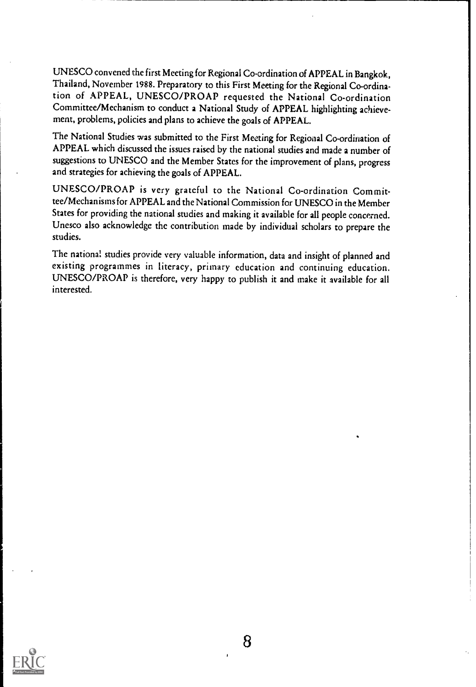UNESCO convened the first Meeting for Regional Co-ordination of APPEAL in Bangkok, Thailand, November 1988. Preparatory to this First Meeting for the Regional Co-ordination of APPEAL, UNESCO/PROAP requested the National Co-ordination Committee/Mechanism to conduct a National Study of APPEAL highlighting achievement, problems, policies and plans to achieve the goals of APPEAL.

The National Studies was submitted to the First Meeting for Regional Co-ordination of APPEAL which discussed the issues raised by the national studies and made a number of suggestions to UNESCO and the Member States for the improvement of plans, progress and strategies for achieving the goals of APPEAL.

UNESCO/PROAP is very grateful to the National Co-ordination Committee/Mechanisms for APPEAL and the National Commission for UNESCO in the Member States for providing the national studies and making it available for all people concerned. Unesco also acknowledge the contribution made by individual scholars to prepare the studies.

The national studies provide very valuable information, data and insight of planned and existing programmes in literacy, primary education and continuing education. UNESCO/PROAP is therefore, very happy to publish it and make it available for all interested.

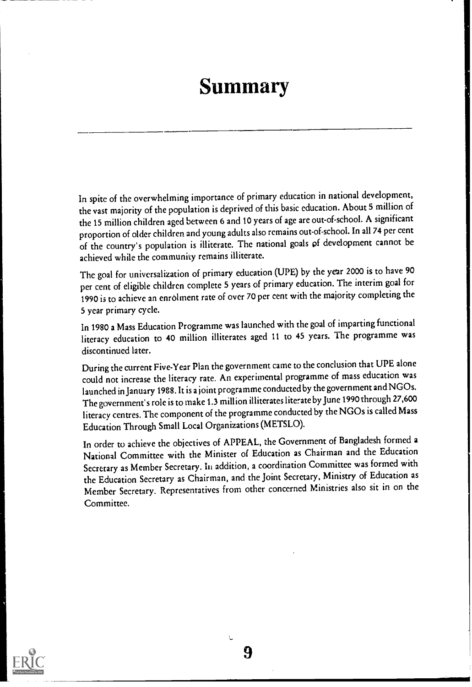# Summary

In spite of the overwhelming importance of primary education in national development, the vast majority of the population is deprived of this basic education. About 5 million of the 15 million children aged between 6 and 10 years of age are out-of-school. A significant proportion of older children and young adults alsoremains out-of-school. In all 74 per cent of the country's population is illiterate. The national goals of development cannot be achieved while the community remains illiterate.

The goal for universalization of primary education (UPE) by the year 2000 is to have 90 per cent of eligible children complete 5 years of primary education. The interim goal for 1990 is to achieve an enrolment rate of over 70 per cent with the majority completing the 5 year primary cycle.

In 1980 a Mass Education Programme was launched with the goal of imparting functional literacy education to 40 million illiterates aged 11 to 45 years. The programme was discontinued later.

During the current Five-Year Plan the government came to the conclusion that UPE alone could not increase the literacy rate. An experimental programme of mass education was launched in January 1988. It is a joint programme conducted by the government and NGOs. The government's role is to make 1.3 million illiterates literate by June 1990 through 27,600 literacy centres. The component of the programme conducted by the NGOs is called Mass Education Through Small Local Organizations (METSLO).

In order to achieve the objectives of APPEAL, the Government of Bangladesh formed a National Committee with the Minister of Education as Chairman and the Education Secretary as Member Secretary. In addition, a coordination Committee was formed with the Education Secretary as Chairman, and the Joint Secretary, Ministry of Education as Member Secretary. Representatives from other concerned Ministries also sit in on the Committee.

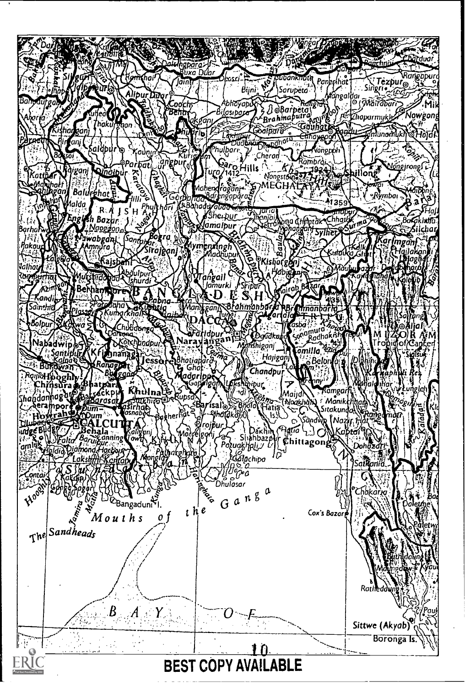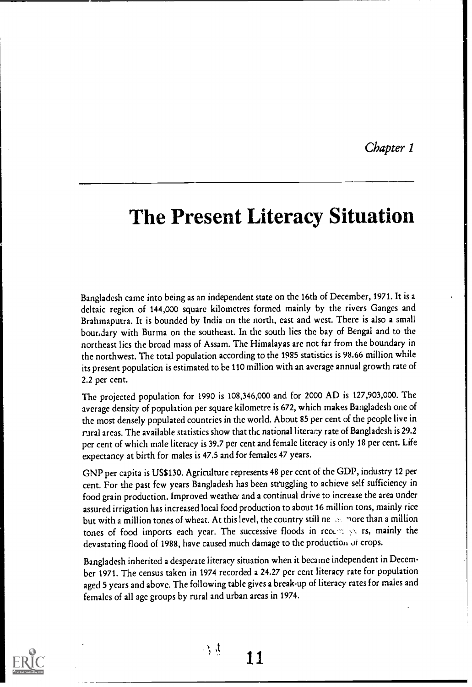Chapter 1

# The Present Literacy Situation

Bangladesh came into being as an independent state on the 16th of December, 1971. It is a deltaic region of 144,000 square kilometres formed mainly by the rivers Ganges and Brahmaputra. It is bounded by India on the north, east and west. There is also a small boundary with Burma on the southeast. In the south lies the bay of Bengal and to the northeast lies the broad mass of Assam. The Himalayas are not far from the boundary in the northwest. The total population according to the 1985 statistics is 98.66 million while its present population is estimated to be 110 million with an average annual growth rate of 2.2 per cent.

The projected population for 1990 is 108,346,000 and for 2000 AD is 127,903,000. The average density of population per square kilometre is 672, which makes Bangladesh one of the most densely populated countries in the world. About 85 per cent of the people live in rural areas. The available statistics show that the national literacy rate of Bangladesh is 29.2 per cent of which male literacy is 39.7 per cent and female literacy is only 18 per cent. Life expectancy at birth for males is 47.5 and for females 47 years.

GNP per capita is US\$130. Agriculture represents 48 per cent of the GDP, industry 12 per cent. For the past few years Bangladesh has been struggling to achieve self sufficiency in food grain production. Improved weather and a continual drive to increase the area under assured irrigation has increased local food production to about 16 million tons, mainly rice but with a million tones of wheat. At this level, the country still ne see nore than a million tones of food imports each year. The successive floods in recent years, mainly the devastating flood of 1988, have caused much damage to the production of crops.

Bangladesh inherited a desperate literacy situation when it became independent in December 1971. The census taken in 1974 recorded a 24.27 per cent literacy rate for population aged 5 years and above. The following table gives a break-up of literacy rates for males and females of all age groups by rural and urban areas in 1974.



 $\mathcal{L}$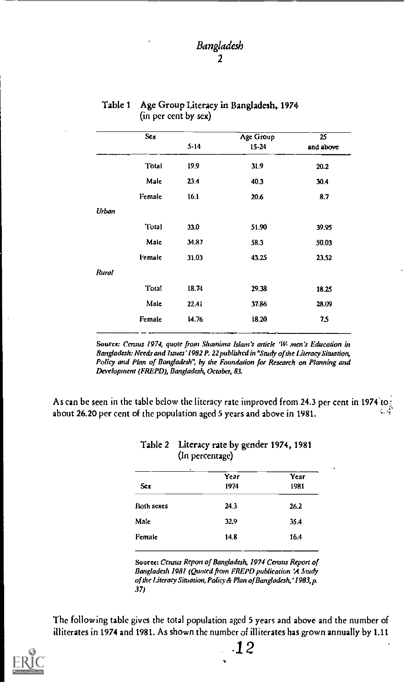| Sex           |          | <b>Age Group</b> | 25        |
|---------------|----------|------------------|-----------|
|               | $5 - 14$ | 15-24            | and above |
| Total         | 19.9     | 31.9             | 20.2      |
| Male          | 23.4     | 40.3             | 30.4      |
| Female        | 16.1     | 20.6             | 8.7       |
| Urban         |          |                  |           |
| '1 otal       | 33.0     | 51.90            | 39.95     |
| Male          | 34.87    | 58.3             | 50.03     |
| <b>Female</b> | 31.03    | 43.25            | 23.52     |
| Rural         |          |                  |           |
| Total         | 18.74    | 29.38            | 18.25     |
| Male          | 22.41    | 37.86            | 28.09     |
| Female        | 14.76    | 18.20            | 7.5       |
|               |          |                  |           |

#### Table 1 Age Group Literacy in Bangladesh, 1974 (in per cent by sex)

Source: Census 1974, quote from Shamima Islam's article 'W men's Education in Bangladesh: Needs and Issues' 1982 P. 22 published in "Study of the Literacy Situation, Policy and Plan of Bangladesh", by the Foundation for Research on Planning and Development (FREPD), Bangladesh, October, 83.

As can be seen in the table below the literacy rate improved from 24.3 per cent in 1974 about 26.20 per cent of the population aged 5 years and above in 1981.

|                   | Year | Year |
|-------------------|------|------|
| Sex.              | 1974 | 1981 |
| <b>Both sexes</b> | 24 3 | 26.2 |
| Male              | 32.9 | 35.4 |
| Female            | 14.8 | 16.4 |

#### Table 2 Literacy rate by gender 1974, 1981 (In percentage)

Source: Census Repon of Bangladesh, 1974 Census Report of Bangladesh 1981 (Quoted from FREPD publication 'A Soudy of the Literacy Situation, Policy& Plan of Bangladesh,' 1983, p. 37)

The following table gives the total population aged 5 years and above and the number of illiterates in 1974and 1981. As shown the number of illiterates has grown annually by 1.11

.12

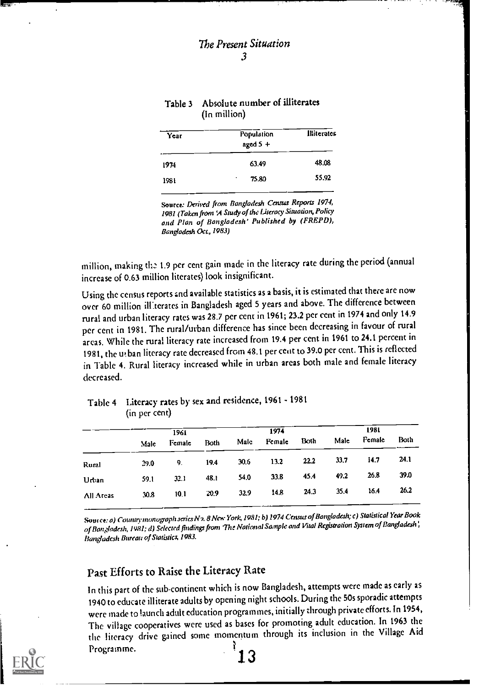| Year | Population<br>aged $5 +$ | Illiterates |
|------|--------------------------|-------------|
| 1974 | 63.49                    | 48.08       |
| 1981 | 75.80<br>٠               | 55.92       |
|      |                          |             |

#### Table 3 Absolute number of illiterates (In million)

Source: Derived from Bangladesh Census Reports 1974, 1981 (Taken from 'A Study of the literacy Situation,Policy and Plan of Bangladesh' Published by (FREPD), Bangladesh Oct, 1983)

million, making 1.9 per cent gain made in the literacy rate during the period (annual increase of 0.63 million literates) look insignificant.

Using the census reports and available statistics as a basis, it is estimated that there are now over 60 million illiterates in Bangladesh aged 5 years and above. The difference between rural and urban literacy rates was 28.7 per cent in 1961; 23.2 per cent in 1974 and only 14.9 per cent in 1981. The rural/urban difference has since been decreasing in favour of rural areas. While the rural literacy rate increased from 19.4 per cent in 1961 to 24.1 percent in 1981, the ui ban literacy rate decreased from 48.1 per cent to 39.0 per cent. This is reflected in Table 4. Rural literacy increased while in urban areas both male and female literacy decreased.

### Table 4 Literacy rates by sex and residence, 1961 - 1981 (in per cent)

|           |      | 1961   |      | 1974 |        |      |      |        |      |
|-----------|------|--------|------|------|--------|------|------|--------|------|
|           | Male | Female | Both | Mate | Female | Both | Male | Pemale | Both |
| Rural     | 29.0 | 9.     | 19.4 | 30.6 | 13.2   | 22.2 | 33.7 | 14.7   | 24.1 |
| Urban     | 59.1 | 32.1   | 48.I | 54.0 | -33.8  | 45.4 | 49.2 | 26.8   | 39.0 |
| All Areas | 30.8 | 10.1   | 20.9 | 32.9 | 14.8   | 24.3 | 35.4 | 16.4   | 26.2 |

Soutce: a) Country monograph series N2. 8 New York, 1981; b) 1974 Census of Bangladesh; c) Statistical Year Book of Bangladesh, 1981; d) Selected findings from The National Sample and Vital Registration System of Bangladesh', Bangladesh Bureau of Statistics, 1983.

## Past Efforts to Raise the Literacy Rate

In this part of the sub-continent which is now Bangladesh, attempts were made as early as 1940 to educate illiterate adults by opening night schools. During the 50s sporadic attempts were made to launch adult education programmes, initially through private efforts. In 1954, The village cooperatives were used as bases for promoting adult education. In 1963 the the literacy drive gained some momentum through its inclusion in the Village Aid Programme. 3

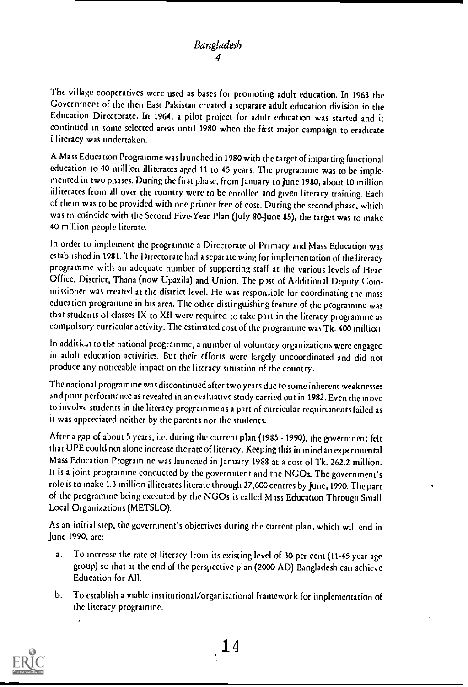The village cooperatives were used as bases for promoting adult education. In 1963 the Government of the then East Pakistan created a separate adult education division in the Education Directorate. In 1964, a pilot project for adult education was started and it continued in some selected areas until 1980 when the first major campaign to eradicate illiteracy was undertaken.

A Mass Education Programme was launched in 1980 with thetarget of imparting functional education to 40 million illiterates aged 11 to 45 years. The programme was to be implemented in two phases. During the first phase, from January to June 1980, about 10 million illiterates from all over the country were to be enrolled and given literacy training. Each of them was to be provided with one primer free of cost. During the second phase, which was to coincide with the Second Five-Year Plan (July 80-June 85), the target was to make 40 million people literate.

In order to implement the programme a Directorate of Primary and Mass Education was established in 1981. The Directorate had a separate wing for implementation of the literacy programme with an adequate number of supporting staff at the various levels of Head Office, District, Thana (now Upazila) and Union. The p 1st of Additional Deputy Commissioner was created at the district level. He was responible for coordinating the mass education programme in his area. The other distinguishing feature of the programme was that students of classes IX to XII were required to take part in the literacy programme as compulsory curricular activity. The estimated cost of the programme was Tk. 400 million.

In addition to the national programme, a number of voluntary organizations were engaged in adult education activities. But their efforts were largely uncoordinated and did not produce any noticeable impact on the literacy situation of the country.

The national programme was discontinued after two years due to some inherent weaknesses and poor performance as revealed in an evaluative study carried out in 1982. Even the move to involvs students in the literacy programme as a part of curricular requirements failed as it was appreciated neither by the parents nor the students.

After a gap of about 5 years, i.e. during the current plan (1985 - 1990), the government felt that UPE could not alone increase the rate of literacy. Keeping this in mind an experimental Mass Education Programme was launched in January 1988 at a cost of Tk. 262.2 million. It is a joint programme conducted by the government and the NGOs. The government's role is to make 1.3 million illiterates literate through 27,600 centres by June, 1990. The part of the programme being executed by the NGOs is called Mass Education Through Small Local Organizations (METSLO).

As an initial step, the government's objectives during the current plan, which will end in June 1990, are:

- a. To increase the rate of literacy from its existing level of 30 per cent (11 -45 year age group) so that at the cnd of the perspective plan (2000 AD) Bangladesh can achieve Education for All.
- b. To establish a viable institutional/organisational framework for implementation of the literacy programme.

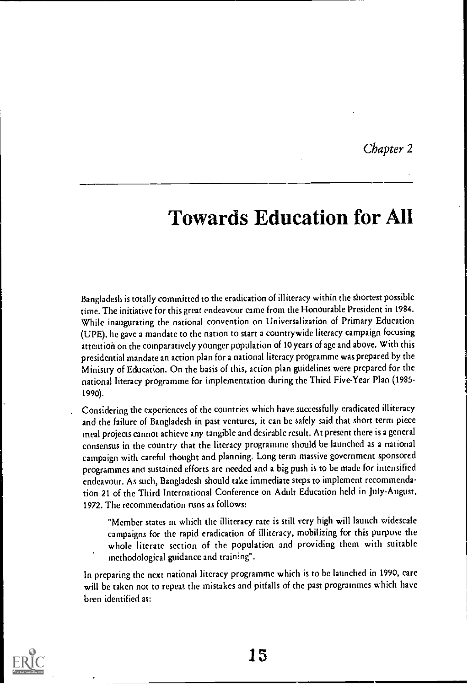Chapter 2

# Towards Education for All

Bangladesh is totally committed to the eradication of illiteracy within the shortest possible time. The initiative for this great endeavour came from the Honourable President in 1984. While inaugurating the national convention on Universalization of Primary Education (UPE), he gave a mandate to the nation to start a countrywide literacy campaign focusing attention on the comparatively younger population of 10 years of age and above. With this presidential mandate an action plan for a national literacy programme was prepared by the Ministry of Education. On the basis of this, action plan guidelines were prepared for the national literacy programme for implementation during the Third Five-Year Plan (1985- 1990).

Considering the experiences of the countries which have successfully eradicated illiteracy and the failure of Bangladesh in past ventures, it can be safely said that short term piece meal projects cannot achieve any tangible and desirable result. At present there is a general consensus in the country that the literacy programme should be launched as a national campaign with careful thought and planning. Long term massive government sponsored programmes and sustained efforts are needed and a big push is to be made for intensified endeavour. As such, Bangladesh should take immediate steps to implement recommendation 21 of the Third International Conference on Adult Education held in July-August, 1972. The recommendation runs as follows:

"Member states in which the illiteracy rate is still very high will launch widescale campaigns for the rapid eradication of illiteracy, mobilizing for this purpose the whole literate section of the population and providing them with suitable methodological guidance and training".

In preparing the next national literacy programme which is to be launched in 1990, care will be taken not to repeat the mistakes and pitfalls of the past programmes which have been identified as:

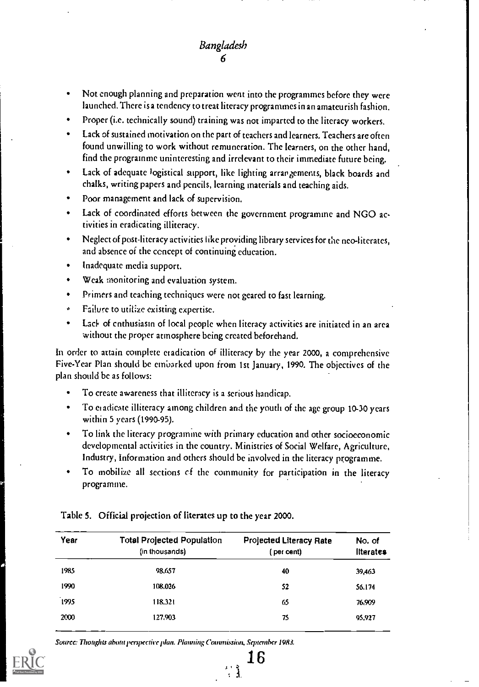# Bangladesh 6

- Not enough planning and preparation went into the programmes before they were launched. There is a tendency to treat literacy programmes in an amateurish fashion.
- Proper (i.e. technically sound) training was not imparted to the literacy workers.
- Lack of sustained motivation on the part of teachers and learners. Teachers are often found unwilling to work without remuneration. The learners, on the other hand, find the programme uninteresting and irrelevant to their immediate future being.
- Lack of adequate logistical support, like lighting arrangements, black boards and chalks, writing papers and pencils, learning materials and teaching aids.
- Poor management and lack of supervision.
- Lack of coordinated efforts between the government programme and NGO activities in eradicating illiteracy.
- Neglect of post-literacy activities like providing library services for the neo-literates, and absence of the concept of continuing education.
- Inadequate media support.
- Weak monitoring and evaluation system.
- Primers and teaching techniques were not geared to fast learning.
- Failure to utilize existing expertise. ø.
- Lack of enthusiasm of local people when literacy activities are initiated in an area  $\bullet$ without the proper atmosphere being created beforehand.

In order to attain complete eradication of illiteracy by the year 2000, a comprehensive Five-Year Plan should be embarked upon from 1st January, 1990. The objectives of the plan should be as follows:

- To create awareness that illiteracy is a serious handicap.
- To eradicate illiteracy among children and the youth of the age group 10-30 years within 5 years (1990-95).
- To link the literacy programme with primary education and other socioeconomic developmental activities in the country. Ministries of Social Welfare, Agriculture, Industry, Information and others should be involved in the literacy programme.
- To mobilize all sections cf the community for participation in the literacy programme.

| Year | <b>Total Projected Population</b><br>(in thousands) | <b>Projected Literacy Rate</b><br>(per cent) | No. of<br><b>Ilterates</b> |
|------|-----------------------------------------------------|----------------------------------------------|----------------------------|
| 1985 | 98.657                                              | 40                                           | 39 4 63                    |
| 1990 | 108.026                                             | 52                                           | 56.174                     |
| 1995 | 118.321                                             | 65                                           | 76.909                     |
| 2000 | 127.903                                             | 75                                           | 95.927                     |

16

 $\begin{smallmatrix} 1 & 2 \\ 1 & 1 \end{smallmatrix}$ 

Table 5. Official projection of literates up to the year 2000.

Source: Thoughts about perspective plan. Planning Commission, September 19R3.

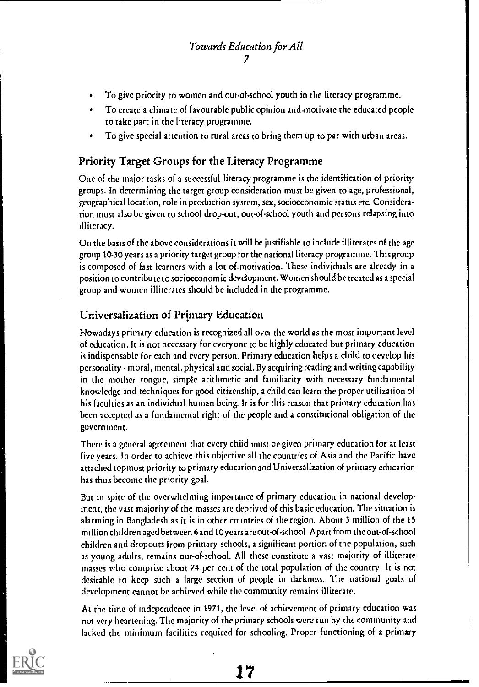- To give priority to women and out-of-school youth in the literacy programme.
- To create a climate of favourable public opinion and motivate the educated people  $\bullet$ to take part in the literacy programme.
- To give special attention to rural areas to bring them up to par with urban areas.

## Priority Target Groups for the Literacy Programme

One of the major tasks of a successful literacy programme is the identification of priority groups. In determining the target group consideration must be given to age, professional, geographical location, role in production system, sex, socioeconomic status etc. Consideration must also be given to school drop-out, out-of-school youth and persons relapsing into illiteracy.

On the basis of the above considerations it will be justifiable to include illiterates of the age group 10-30 years as a priority target group for the national literacy programme. This group is composed of fast learners with a lot of.motivation. These individuals are already in a position to contribute to socioeconomic development. Women should. be treated as a special group and women illiterates should be included in the programme.

# Universalization of Primary Education

Nowadays primary education is recognized all over the world as the most important level of education. It is not necessary for everyone to be highly educated but primary education is indispensable for each and every person. Primary education helps a child to develop his personality - moral, mental, physical and social. By acquiring reading and writing capability in the mother tongue, simple arithmetic and familiarity with necessary fundamental knowledge and techniques for good citizenship, a child can learn the proper utilization of his faculties as an individual human being. It is for this reason that primary education has been accepted as a fundamental right of the people and a constitutional obligation of the government.

There is a general agreement that every chiid must be given primary education for at least five years. In order to achieve this objective all the countries of Asia and the Pacific have attached topmost priority to primary education and Universalization of primary education has thus become the priority goal.

But in spite of the overwhelming importance of primary education in national development, the vast majority of the masses are deprived of this basic education. The situation is alarming in Bangladesh as it is in other countries of the region. About 5 million of the 15 million children aged between 6 and 10 years are out-of-school. Apart from the out-of-school children and dropouts from primary schools, a significant portior. of the population, such as young adults, remains out-of-school. All these constitute a vast majority of illiterate masses who comprise about 74 per cent of the total population of the country. It is not desirable to keep such a large section of people in darkness. The national goals of development cannot be achieved while the community remains illiterate.

At the time of independence in 1971, the level of achievement of primary education was not very heartening. The majority of the primary schools were run by the community and lacked the minimum facilities required for schooling. Proper functioning of a primary

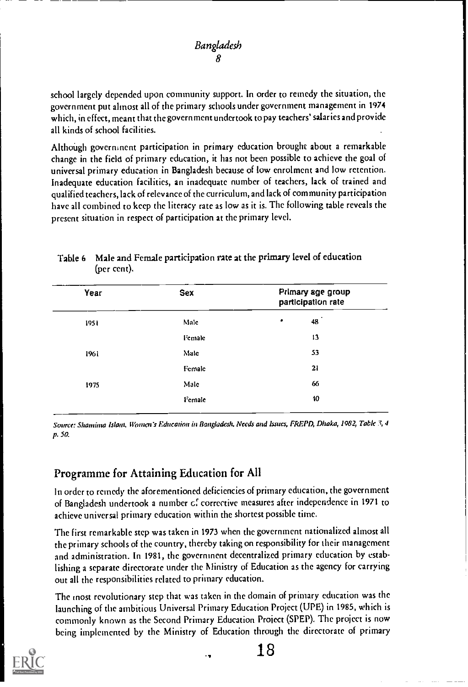school largely depended upon community support. In order to remedy the situation, the government put almost all of the primary schools under government management in 1974 which, in effect, meant that the government undertook to pay teachers' salaries and provide all kinds of school facilities.

Although government participation in primary education brought about a remarkable change in the field of primary education, it has not been possible to achieve the goal of universal primary education in Bangladesh because of low enrolment and low retention. Inadequate education facilities, an inadequate number of teachers, lack of trained and qualified teachers, lack of relevance of the curriculum, and lack of community participation have all combined to keep the literacy rate as low as it is. The following table reveals the present situation in respect of participation at the primary level.

| Year  | Sex            | Primary age group<br>participation rate |  |  |
|-------|----------------|-----------------------------------------|--|--|
| 195 î | Male           | ٠<br>48                                 |  |  |
|       | <i>l'emale</i> | 13                                      |  |  |
| 1961  | Male           | 53                                      |  |  |
|       | Female         | 21                                      |  |  |
| 1975  | Malc           | 66                                      |  |  |
|       | Female         | 10                                      |  |  |

### Table 6 Male and Female participation rate at the primary level of education (per cent).

Source: Shamima Islam, Women's Education in Bangladesh, Needs and Issues, FREPD, Dhaka, 1982, Table 3, 4 p. 50.

# Programme for Attaining Education for All

In order to remedy the aforementioned deficiencies of primary education, the government of Bangladesh undertook a number cf corrective measures after independence in 1971 to achieve universal primary education within the shortest possible time.

The first remarkable step was taken in 1973 when the government nationalized almost all the primary schools of the country, thereby taking on responsibility for their management and administration. In 1981, the government decentralized primary education by establishing a separate directorate under the Ministry of Education as the agency for carrying out all the responsibilities related to primary education.

The most revolutionary step that was taken in the domain of primary education was the launching of the ambitious Universal Primary Education Project (UPE) in 1985, which is commonly known as the Second Primary Education Project (SPEP). The project is now being implemented by the Ministry of Education through the directorate of primary

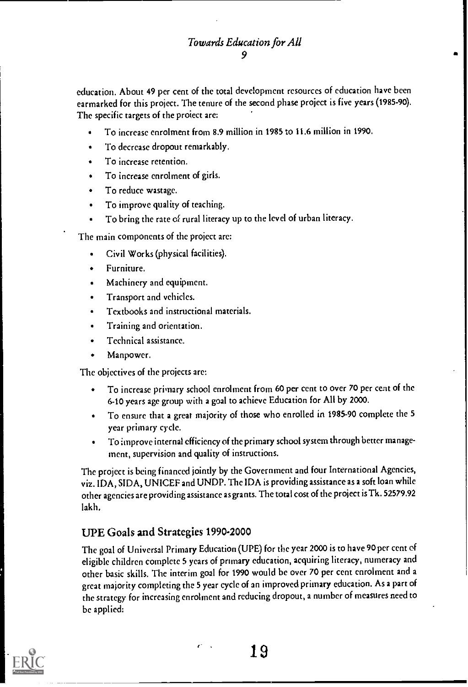education. About 49 per cent of the total development resources of education have been earmarked for this project. The tenure of the second phase project is five years (1985-90). The specific targets of the project are:

- To increase enrolment from 8.9 million in 1985 to 11.6 million in 1990.
- To decrease dropout remarkably.  $\bullet$
- To increase retention.  $\bullet$
- To increase enrolment of girls.
- To reduce wastage.
- To improve quality of teaching.
- To bring the rate of rural literacy up to the level of urban literacy.

The main components of the project are:

- Civil Works (physical facilities).  $\bullet$
- Furniture.
- Machinery and equipment.
- Transport and vehicles.
- Textbooks and instructional materials.
- Training and orientation.
- Technical assistance.
- Manpower.

The objectives of the projects are:

- To increase primary school enrolment from 60 per cent to over 70 per cent of the 6-10 years age group with a goal to achieve Education for All by 2000.
- To ensure that a great majority of those who enrolled in 1985-90 complete the 5 year primary cycle.
- To improve internal efficiency of the primary school system through better management, supervision and quality of instructions.

The project is being financed jointly by the Government and four International Agencies, viz. IDA, SIDA, UNICEF and UNDP. The IDA is providing assistance as a soft loan while other agencies are providing assistance as grants. The total cost of the project is Tk. 52579.92 lakh.

## UPE Goals and Strategies 1990-2000

The goal of Universal Primary Education (UPE) for the year 2000 is to have 90 per cent of eligible children complete 5 years of primary education, acquiring literacy, numeracy and other basic skills. The interim goal for 1990 would be over 70 per cent enrolment and a great majority completing the 5 year cycle of an improved primary education. As a part of the strategy for increasing enrolment and reducing dropout, a number of measures need to be applied:

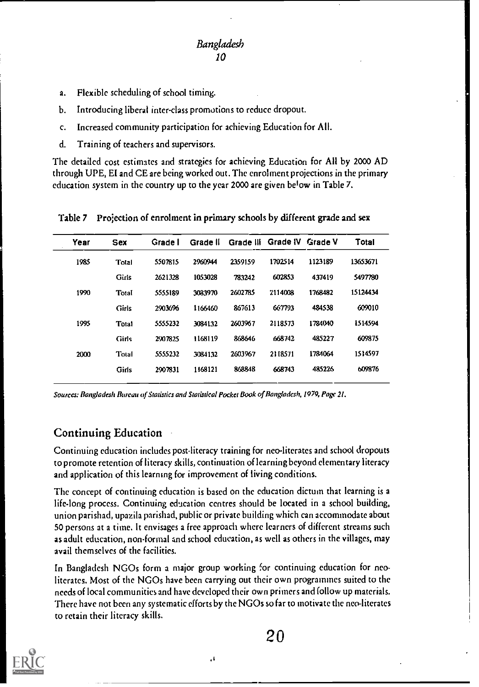- a. Flexible scheduling of school timing.
- b. Introducing liberal inter-class promotions to reduce dropout.
- c. Increased community participation for achieving Education for All.
- d. Training of teachers and supervisors.

The detailed cost estimates and strategies for achieving Education for All by 2000 AD through UPE, El and CE are being worked out. The enrolment projections in the primary education system in the country up to the year 2000 are given below in Table 7.

Table 7 Projection of enrolment in primary schools by different grade and sex

| Sex   | Grade I | Grade II |         |         |         | Total                      |
|-------|---------|----------|---------|---------|---------|----------------------------|
| Total | 5507815 | 2960944  | 2359159 | 1702514 | 1123189 | 13653671                   |
| Girls | 2621328 | 1053028  | 783242  | 602853  | 437419  | \$497780                   |
| Total | 5555189 | 3083970  | 2602785 | 2114008 | 1768482 | 15124434                   |
| Girls | 2903696 | 1166460  | 867613  | 667793  | 484538  | 609010                     |
| Total | 5555232 | 3084132  | 2603967 | 2118573 | 1784040 | 1514594                    |
| Girls | 2907825 | 1168119  | 868646  | 668742  | 485227  | 609875                     |
| Total | 5555232 | 3084132  | 2603967 | 2118571 | 1784064 | 1514597                    |
| Girls | 2907831 | 1168121  | 868848  | 668743  | 485226  | 609876                     |
|       |         |          |         |         |         | Grade III Grade IV Grade V |

Sources: Bangladesh Bureau of Statistics and Statistical Pocket Book of Bangladesh, 1979, Page 21.

## Continuing Education

Continuing education includes post-literacy training for neo-literates and school dropouts to promote retention of literacy skills, continuation of learning beyond elementary literacy and application of this learning for improvement of living conditions.

The concept of continuing education is based on the education dictum that learning is a life-long process. Continuing education centres should be located in a school building, union parishad, upazil a parishad, public or private building which can accommodate about 50 persons at a time. It envisages a free approach where learners of different streams such as adult education, non-formal and school education, as well as others in the villages, may avail themselves of the facilities.

In Bangladesh NGOs form a major group working for continuing education for neoliterates. Most of the NGOs have been carrying out their own programmes suited to the needs of local communities and have developed their own primers and follow up materials. There have not been any systematic efforts by the NGOs so far to motivate the neo-literates to retain their literacy skills.



 $\cdot$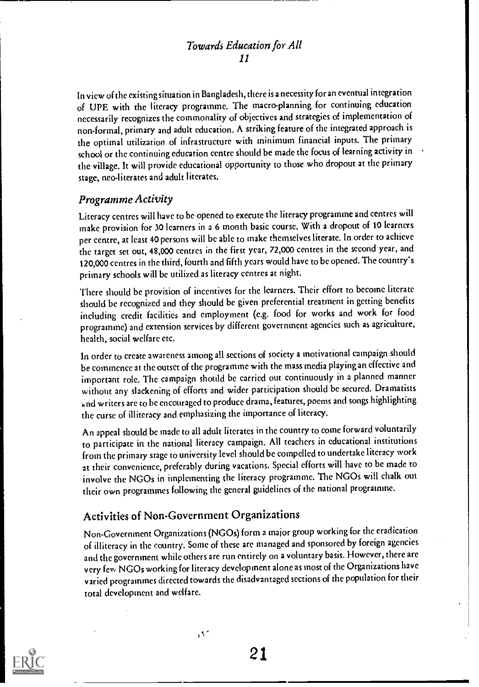In view of the existing situation in Bangladesh, there is a necessityfor an eventual integration of UBE with the literacy programme. The macro-planning for continuing education necessarily recognizes the commonality of objectives and strategies of implementation of non-formal, primary and adult education. A striking feature of the integrated approach is the optimal utilization of infrastructure with minimum financial inputs. The primary school or the continuing education centre should be made the focus of learning activity in the village. It will provide educational opportunity to those who dropout at the primary stage, neo-literates and adult literates.

### Programme Activity

Literacy centres will have to be opened to execute the literacy programme and centres will make provision for 30 learners in a 6 month basic course. With a dropout of 10 learners per centre, at least 40 persons will be able to make themselves literate. In order to achieve the target set out, 48,000 centres in the first year, 72,000 centres in the second year, and 120,000 centres in the third, fourth and fifth years would have tobe opened. The country's primary schools will be utilized as literacy centres at night.

There should be provision of incentives for the learners. Their effort to become literate should be recognized and they should be given preferential treatment in getting benefits including credit facilities and employment (e.g. food for works and work for food programme) and extension services by different government agencies such as agriculture, health, social welfare etc.

In order to create awareness among all sections of society a motivational campaign should be commence at the outset of the programme with the mass media playing an effective and important role. The campaign should be carried out continuously in a planned manner without any slackening of efforts and wider participation should be secured. Dramatists and writers are to be encouraged to produce drama, features, poems and songs highlighting the curse of illiteracy and emphasizing the importance of literacy.

An appeal should be made to all adult literates in the country to come forward voluntarily to participate in the national literacy campaign. All teachers in educational institutions from the primary stage to university level should be compelled to undertake literacy work at their convenience, preferably during vacations. Special efforts will have to be made to involve the NGOs in implementing the literacy programme. The NGOs will chalk out their own programmes following the general guidelines of the national programme.

## Activities of Non-Government Organizations

 $\sqrt{3}$ 

Non-Government Organizations (NGOs) form a major group working for the eradication of illiteracy in the country. Some of these arc managed and sponsored by foreign agencies and the government while others are run entirely on a voluntary basis. However, there are very few NGOs working for literacy development alone as most of the Organizations have varied programmes directed towards the disadvantaged sections of the population for their total development and welfare.

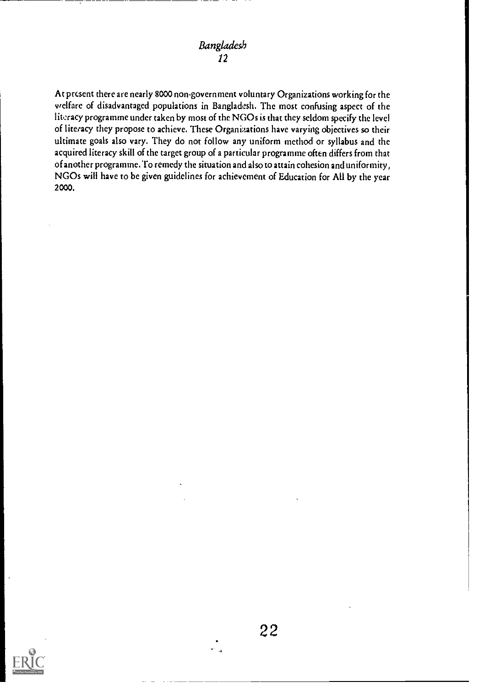At present there are nearly 8000 non-government voluntary Organizations working for the welfare of disadvantaged populations in Bangladesh. The most confusing aspect of the literacy programme under taken by most of the NGOs is that they seldom specify the level of literacy they propose to achieve. These Organizations have varying objectives so their ultimate goals also vary. They do not follow any uniform method or syllabus and the acquired literacy skill of the target group of a particular programme often differs from that of another programme. To remedy the situation and also to attain cohesion and uniformity, NGOs will have to be given guidelines for achievement of Education for All by the year 2000.

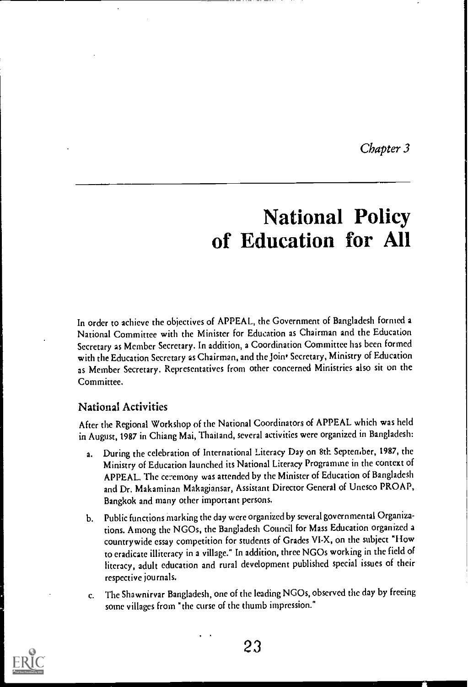Chapter 3

# National Policy of Education for All

In order to achieve the objectives of APPEAL, the Government of Bangladesh formed a National Committee with the Minister for Education as Chairman and the Education Secretary as Member Secretary. In addition, a Coordination Committee has been formed with the Education Secretary as Chairman, and the Join<sup>t</sup> Secretary, Ministry of Education as Member Secretary. Representatives from other concerned Ministries also sit on the Committee.

## National Activities

After the Regional Workshop of the National Coordinators of APPEAL which was held in August, 1987 in Chiang Mai, Thailand, several activities were organized in Bangladesh:

- During the celebration of International Literacy Day on 8th September, 1987, the Ministry of Education launched its National Literacy Programme in the context of APPEAL. The ceremony was attended by the Minister of Education of Bangladesh and Dr. Makaminan Makagiansar, Assistant Director General of Unesco PROAP, Bangkok and many other important persons.
- b. Public functions marking the day were organized by several governmental Organizations. Among the NGOs, the Bangladesh Council for Mass Education organized a countrywide essay competition for students of Grades VI-X, on the subject "Flow to eradicate illiteracy in a village." In addition, three NGOs working in the field of literacy, adult education and rural development published special issues of their respective journals.
- c. The Shawnirvar Bangladesh, one of the leading NGOs, observed the day by freeing some villages from "the curse of the thumb impression."

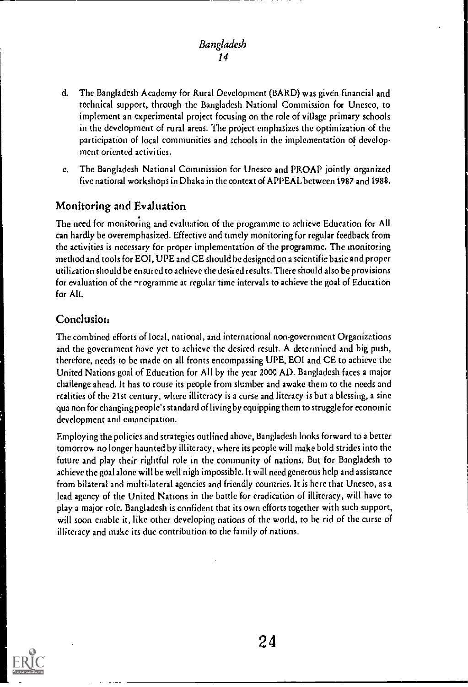### Bangladesh 14

- d. The Bangladesh Academy for Rural Development (BARD) was given financial and technical support, through the Bangladesh National Commission for Unesco, to implement an experimental project focusing on the role of village primary schools in the development of rural areas. The project emphasizes the optimization of the participation of local communities and schools in the implementation of development oriented activities.
- e. The Bangladesh National Commission for Unesco and PROAP jointly organized five national workshops in Dhaka in the context of APPEAL between 1987 and 1988.

## Monitoring and Evaluation

The need for monitoring and evaluation of the programme to achieve Education for All can hardly be overemphasized. Effective and timely monitoring for regular feedback from the activities is necessary for proper implementation of the programme. The monitoring method and tools for EOI, UPE and CE should he designed on a scientific basic and proper utilization should be ensured to achieve the desired results. There should also be provisions for evaluation of the nrogramme at regular time intervals to achieve the goal of Education for All.

### Conclusion

The combined efforts of local, national, and international non-government Organizations and the government have yet to achieve the desired result. A determined and big push, therefore, needs to be made on all fronts encompassing UPE, E01 and CE to achieve the United Nations goal of Education for All by the year 2000 AD. Bangladesh faces a major challenge ahead. It has to rouse its people from slumber and awake them to the needs and realities of the 21st century, where illiteracy is a curse and literacy is but a blessing, a sine qua non for changing people's standard of living by equipping them to struggle for economic development and emancipation.

Employing the policies and strategies outlined above, Bangladesh looks forward to a better tomorrow no longer haunted by illiteracy, where its people will make bold strides into the future and play their rightful role in the community of nations. But for Bangladesh to achieve the goal alone will be well nigh impossible. It will need generous help and assistance from bilateral and multi-lateral agencies and friendly countries. It is here that Unesco, as a lead agency of the United Nations in the battle for eradication of illiteracy, will have to play a major role. Bangladesh is confident that its own efforts together with such support, will soon enable it, like other developing nations of the world, to be rid of the curse of illiteracy and make its due contribution to the family of nations.